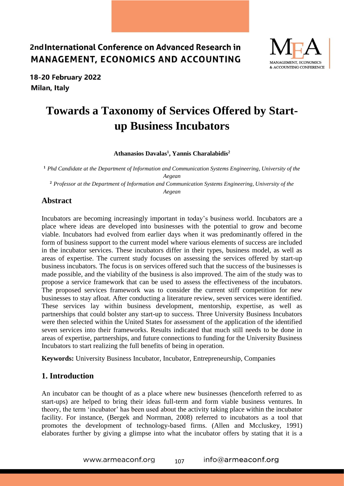

18-20 February 2022 Milan, Italy

# **Towards a Taxonomy of Services Offered by Startup Business Incubators**

#### **Athanasios Davalas<sup>1</sup> , Yannis Charalabidis<sup>2</sup>**

**<sup>1</sup>** *Phd Candidate at the Department of Information and Communication Systems Engineering, University of the Aegean*

**<sup>2</sup>** *Professor at the Department of Information and Communication Systems Engineering, University of the Aegean*

#### **Abstract**

Incubators are becoming increasingly important in today's business world. Incubators are a place where ideas are developed into businesses with the potential to grow and become viable. Incubators had evolved from earlier days when it was predominantly offered in the form of business support to the current model where various elements of success are included in the incubator services. These incubators differ in their types, business model, as well as areas of expertise. The current study focuses on assessing the services offered by start-up business incubators. The focus is on services offered such that the success of the businesses is made possible, and the viability of the business is also improved. The aim of the study was to propose a service framework that can be used to assess the effectiveness of the incubators. The proposed services framework was to consider the current stiff competition for new businesses to stay afloat. After conducting a literature review, seven services were identified. These services lay within business development, mentorship, expertise, as well as partnerships that could bolster any start-up to success. Three University Business Incubators were then selected within the United States for assessment of the application of the identified seven services into their frameworks. Results indicated that much still needs to be done in areas of expertise, partnerships, and future connections to funding for the University Business Incubators to start realizing the full benefits of being in operation.

**Keywords:** University Business Incubator, Incubator, Entrepreneurship, Companies

#### **1. Introduction**

An incubator can be thought of as a place where new businesses (henceforth referred to as start-ups) are helped to bring their ideas full-term and form viable business ventures. In theory, the term 'incubator' has been used about the activity taking place within the incubator facility. For instance, (Bergek and Norrman, 2008) referred to incubators as a tool that promotes the development of technology-based firms. (Allen and Mccluskey, 1991) elaborates further by giving a glimpse into what the incubator offers by stating that it is a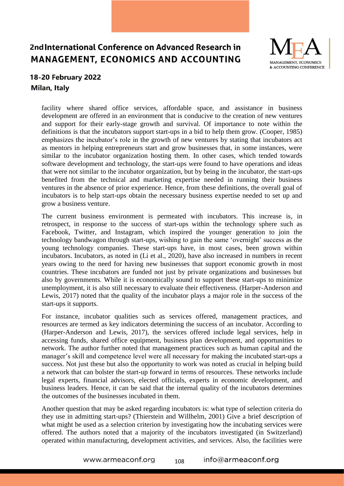

#### 18-20 February 2022 Milan, Italy

facility where shared office services, affordable space, and assistance in business development are offered in an environment that is conducive to the creation of new ventures and support for their early-stage growth and survival. Of importance to note within the definitions is that the incubators support start-ups in a bid to help them grow. (Cooper, 1985) emphasizes the incubator's role in the growth of new ventures by stating that incubators act as mentors in helping entrepreneurs start and grow businesses that, in some instances, were similar to the incubator organization hosting them. In other cases, which tended towards software development and technology, the start-ups were found to have operations and ideas that were not similar to the incubator organization, but by being in the incubator, the start-ups benefited from the technical and marketing expertise needed in running their business ventures in the absence of prior experience. Hence, from these definitions, the overall goal of incubators is to help start-ups obtain the necessary business expertise needed to set up and grow a business venture.

The current business environment is permeated with incubators. This increase is, in retrospect, in response to the success of start-ups within the technology sphere such as Facebook, Twitter, and Instagram, which inspired the younger generation to join the technology bandwagon through start-ups, wishing to gain the same 'overnight' success as the young technology companies. These start-ups have, in most cases, been grown within incubators. Incubators, as noted in (Li et al., 2020), have also increased in numbers in recent years owing to the need for having new businesses that support economic growth in most countries. These incubators are funded not just by private organizations and businesses but also by governments. While it is economically sound to support these start-ups to minimize unemployment, it is also still necessary to evaluate their effectiveness. (Harper-Anderson and Lewis, 2017) noted that the quality of the incubator plays a major role in the success of the start-ups it supports.

For instance, incubator qualities such as services offered, management practices, and resources are termed as key indicators determining the success of an incubator. According to (Harper-Anderson and Lewis, 2017), the services offered include legal services, help in accessing funds, shared office equipment, business plan development, and opportunities to network. The author further noted that management practices such as human capital and the manager's skill and competence level were all necessary for making the incubated start-ups a success. Not just these but also the opportunity to work was noted as crucial in helping build a network that can bolster the start-up forward in terms of resources. These networks include legal experts, financial advisors, elected officials, experts in economic development, and business leaders. Hence, it can be said that the internal quality of the incubators determines the outcomes of the businesses incubated in them.

Another question that may be asked regarding incubators is: what type of selection criteria do they use in admitting start-ups? (Thierstein and Willhelm, 2001) Give a brief description of what might be used as a selection criterion by investigating how the incubating services were offered. The authors noted that a majority of the incubators investigated (in Switzerland) operated within manufacturing, development activities, and services. Also, the facilities were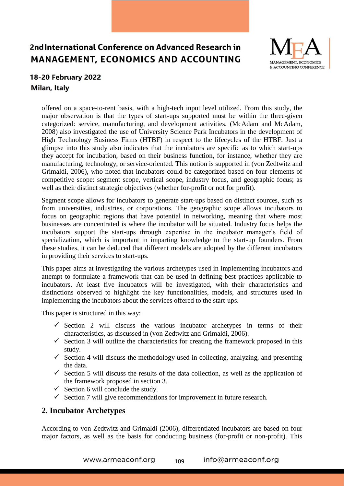

### 18-20 February 2022 Milan, Italy

offered on a space-to-rent basis, with a high-tech input level utilized. From this study, the major observation is that the types of start-ups supported must be within the three-given categorized: service, manufacturing, and development activities. (McAdam and McAdam, 2008) also investigated the use of University Science Park Incubators in the development of High Technology Business Firms (HTBF) in respect to the lifecycles of the HTBF. Just a glimpse into this study also indicates that the incubators are specific as to which start-ups they accept for incubation, based on their business function, for instance, whether they are manufacturing, technology, or service-oriented. This notion is supported in (von Zedtwitz and Grimaldi, 2006), who noted that incubators could be categorized based on four elements of competitive scope: segment scope, vertical scope, industry focus, and geographic focus; as well as their distinct strategic objectives (whether for-profit or not for profit).

Segment scope allows for incubators to generate start-ups based on distinct sources, such as from universities, industries, or corporations. The geographic scope allows incubators to focus on geographic regions that have potential in networking, meaning that where most businesses are concentrated is where the incubator will be situated. Industry focus helps the incubators support the start-ups through expertise in the incubator manager's field of specialization, which is important in imparting knowledge to the start-up founders. From these studies, it can be deduced that different models are adopted by the different incubators in providing their services to start-ups.

This paper aims at investigating the various archetypes used in implementing incubators and attempt to formulate a framework that can be used in defining best practices applicable to incubators. At least five incubators will be investigated, with their characteristics and distinctions observed to highlight the key functionalities, models, and structures used in implementing the incubators about the services offered to the start-ups.

This paper is structured in this way:

- $\checkmark$  Section 2 will discuss the various incubator archetypes in terms of their characteristics, as discussed in (von Zedtwitz and Grimaldi, 2006).
- $\checkmark$  Section 3 will outline the characteristics for creating the framework proposed in this study.
- $\checkmark$  Section 4 will discuss the methodology used in collecting, analyzing, and presenting the data.
- $\checkmark$  Section 5 will discuss the results of the data collection, as well as the application of the framework proposed in section 3.
- $\checkmark$  Section 6 will conclude the study.
- $\checkmark$  Section 7 will give recommendations for improvement in future research.

#### **2. Incubator Archetypes**

According to von Zedtwitz and Grimaldi (2006), differentiated incubators are based on four major factors, as well as the basis for conducting business (for-profit or non-profit). This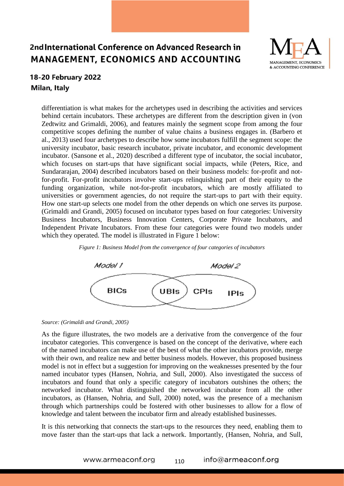

#### **18-20 February 2022** Milan, Italy

differentiation is what makes for the archetypes used in describing the activities and services behind certain incubators. These archetypes are different from the description given in (von Zedtwitz and Grimaldi, 2006), and features mainly the segment scope from among the four competitive scopes defining the number of value chains a business engages in. (Barbero et al., 2013) used four archetypes to describe how some incubators fulfill the segment scope: the university incubator, basic research incubator, private incubator, and economic development incubator. (Sansone et al., 2020) described a different type of incubator, the social incubator, which focuses on start-ups that have significant social impacts, while (Peters, Rice, and Sundararajan, 2004) described incubators based on their business models: for-profit and notfor-profit. For-profit incubators involve start-ups relinquishing part of their equity to the funding organization, while not-for-profit incubators, which are mostly affiliated to universities or government agencies, do not require the start-ups to part with their equity. How one start-up selects one model from the other depends on which one serves its purpose. (Grimaldi and Grandi, 2005) focused on incubator types based on four categories: University Business Incubators, Business Innovation Centers, Corporate Private Incubators, and Independent Private Incubators. From these four categories were found two models under which they operated. The model is illustrated in Figure 1 below:



*Figure 1: Business Model from the convergence of four categories of incubators*

As the figure illustrates, the two models are a derivative from the convergence of the four incubator categories. This convergence is based on the concept of the derivative, where each of the named incubators can make use of the best of what the other incubators provide, merge with their own, and realize new and better business models. However, this proposed business model is not in effect but a suggestion for improving on the weaknesses presented by the four named incubator types (Hansen, Nohria, and Sull, 2000). Also investigated the success of incubators and found that only a specific category of incubators outshines the others; the networked incubator. What distinguished the networked incubator from all the other incubators, as (Hansen, Nohria, and Sull, 2000) noted, was the presence of a mechanism through which partnerships could be fostered with other businesses to allow for a flow of knowledge and talent between the incubator firm and already established businesses.

It is this networking that connects the start-ups to the resources they need, enabling them to move faster than the start-ups that lack a network. Importantly, (Hansen, Nohria, and Sull,

*Source: (Grimaldi and Grandi, 2005)*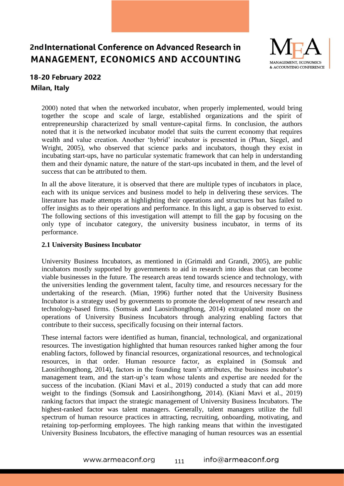

### 18-20 February 2022 Milan, Italy

2000) noted that when the networked incubator, when properly implemented, would bring together the scope and scale of large, established organizations and the spirit of entrepreneurship characterized by small venture-capital firms. In conclusion, the authors noted that it is the networked incubator model that suits the current economy that requires wealth and value creation. Another 'hybrid' incubator is presented in (Phan, Siegel, and Wright, 2005), who observed that science parks and incubators, though they exist in incubating start-ups, have no particular systematic framework that can help in understanding them and their dynamic nature, the nature of the start-ups incubated in them, and the level of success that can be attributed to them.

In all the above literature, it is observed that there are multiple types of incubators in place, each with its unique services and business model to help in delivering these services. The literature has made attempts at highlighting their operations and structures but has failed to offer insights as to their operations and performance. In this light, a gap is observed to exist. The following sections of this investigation will attempt to fill the gap by focusing on the only type of incubator category, the university business incubator, in terms of its performance.

#### **2.1 University Business Incubator**

University Business Incubators, as mentioned in (Grimaldi and Grandi, 2005), are public incubators mostly supported by governments to aid in research into ideas that can become viable businesses in the future. The research areas tend towards science and technology, with the universities lending the government talent, faculty time, and resources necessary for the undertaking of the research. (Mian, 1996) further noted that the University Business Incubator is a strategy used by governments to promote the development of new research and technology-based firms. (Somsuk and Laosirihongthong, 2014) extrapolated more on the operations of University Business Incubators through analyzing enabling factors that contribute to their success, specifically focusing on their internal factors.

These internal factors were identified as human, financial, technological, and organizational resources. The investigation highlighted that human resources ranked higher among the four enabling factors, followed by financial resources, organizational resources, and technological resources, in that order. Human resource factor, as explained in (Somsuk and Laosirihongthong, 2014), factors in the founding team's attributes, the business incubator's management team, and the start-up's team whose talents and expertise are needed for the success of the incubation. (Kiani Mavi et al., 2019) conducted a study that can add more weight to the findings (Somsuk and Laosirihongthong, 2014). (Kiani Mavi et al., 2019) ranking factors that impact the strategic management of University Business Incubators. The highest-ranked factor was talent managers. Generally, talent managers utilize the full spectrum of human resource practices in attracting, recruiting, onboarding, motivating, and retaining top-performing employees. The high ranking means that within the investigated University Business Incubators, the effective managing of human resources was an essential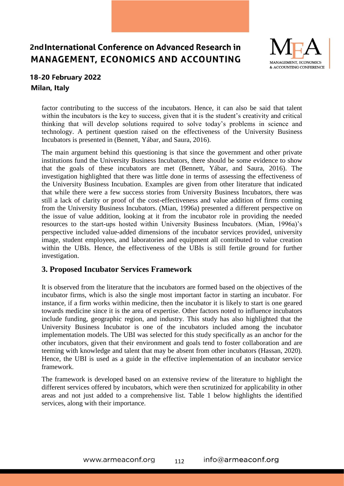

### **18-20 February 2022** Milan, Italy

factor contributing to the success of the incubators. Hence, it can also be said that talent within the incubators is the key to success, given that it is the student's creativity and critical thinking that will develop solutions required to solve today's problems in science and technology. A pertinent question raised on the effectiveness of the University Business Incubators is presented in (Bennett, Yábar, and Saura, 2016).

The main argument behind this questioning is that since the government and other private institutions fund the University Business Incubators, there should be some evidence to show that the goals of these incubators are met (Bennett, Yábar, and Saura, 2016). The investigation highlighted that there was little done in terms of assessing the effectiveness of the University Business Incubation. Examples are given from other literature that indicated that while there were a few success stories from University Business Incubators, there was still a lack of clarity or proof of the cost-effectiveness and value addition of firms coming from the University Business Incubators. (Mian, 1996a) presented a different perspective on the issue of value addition, looking at it from the incubator role in providing the needed resources to the start-ups hosted within University Business Incubators. (Mian, 1996a)'s perspective included value-added dimensions of the incubator services provided, university image, student employees, and laboratories and equipment all contributed to value creation within the UBIs. Hence, the effectiveness of the UBIs is still fertile ground for further investigation.

#### **3. Proposed Incubator Services Framework**

It is observed from the literature that the incubators are formed based on the objectives of the incubator firms, which is also the single most important factor in starting an incubator. For instance, if a firm works within medicine, then the incubator it is likely to start is one geared towards medicine since it is the area of expertise. Other factors noted to influence incubators include funding, geographic region, and industry. This study has also highlighted that the University Business Incubator is one of the incubators included among the incubator implementation models. The UBI was selected for this study specifically as an anchor for the other incubators, given that their environment and goals tend to foster collaboration and are teeming with knowledge and talent that may be absent from other incubators (Hassan, 2020). Hence, the UBI is used as a guide in the effective implementation of an incubator service framework.

The framework is developed based on an extensive review of the literature to highlight the different services offered by incubators, which were then scrutinized for applicability in other areas and not just added to a comprehensive list. Table 1 below highlights the identified services, along with their importance.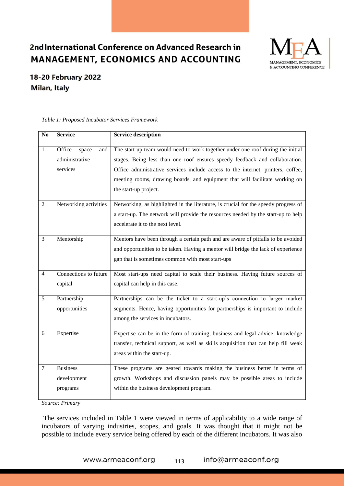

### 18-20 February 2022 **Milan, Italy**

| N <sub>0</sub> | <b>Service</b>                                       | <b>Service description</b>                                                                                                                                                                                                                                                                                                                                  |
|----------------|------------------------------------------------------|-------------------------------------------------------------------------------------------------------------------------------------------------------------------------------------------------------------------------------------------------------------------------------------------------------------------------------------------------------------|
| 1              | Office<br>space<br>and<br>administrative<br>services | The start-up team would need to work together under one roof during the initial<br>stages. Being less than one roof ensures speedy feedback and collaboration.<br>Office administrative services include access to the internet, printers, coffee,<br>meeting rooms, drawing boards, and equipment that will facilitate working on<br>the start-up project. |
| $\overline{2}$ | Networking activities                                | Networking, as highlighted in the literature, is crucial for the speedy progress of<br>a start-up. The network will provide the resources needed by the start-up to help<br>accelerate it to the next level.                                                                                                                                                |
| 3              | Mentorship                                           | Mentors have been through a certain path and are aware of pitfalls to be avoided<br>and opportunities to be taken. Having a mentor will bridge the lack of experience<br>gap that is sometimes common with most start-ups                                                                                                                                   |
| $\overline{4}$ | Connections to future<br>capital                     | Most start-ups need capital to scale their business. Having future sources of<br>capital can help in this case.                                                                                                                                                                                                                                             |
| 5              | Partnership<br>opportunities                         | Partnerships can be the ticket to a start-up's connection to larger market<br>segments. Hence, having opportunities for partnerships is important to include<br>among the services in incubators.                                                                                                                                                           |
| 6              | Expertise                                            | Expertise can be in the form of training, business and legal advice, knowledge<br>transfer, technical support, as well as skills acquisition that can help fill weak<br>areas within the start-up.                                                                                                                                                          |
| $\tau$         | <b>Business</b><br>development<br>programs           | These programs are geared towards making the business better in terms of<br>growth. Workshops and discussion panels may be possible areas to include<br>within the business development program.                                                                                                                                                            |

*Table 1: Proposed Incubator Services Framework*

*Source: Primary*

The services included in Table 1 were viewed in terms of applicability to a wide range of incubators of varying industries, scopes, and goals. It was thought that it might not be possible to include every service being offered by each of the different incubators. It was also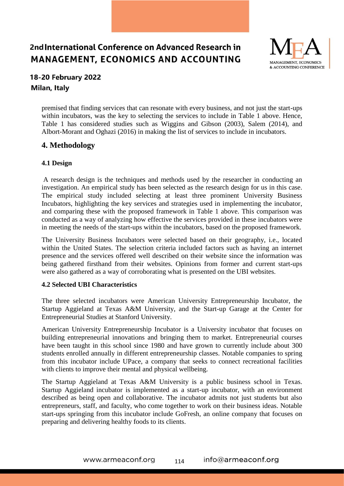

### 18-20 February 2022 Milan, Italy

premised that finding services that can resonate with every business, and not just the start-ups within incubators, was the key to selecting the services to include in Table 1 above. Hence, Table 1 has considered studies such as Wiggins and Gibson (2003), Salem (2014), and Albort-Morant and Oghazi (2016) in making the list of services to include in incubators.

### **4. Methodology**

#### **4.1 Design**

A research design is the techniques and methods used by the researcher in conducting an investigation. An empirical study has been selected as the research design for us in this case. The empirical study included selecting at least three prominent University Business Incubators, highlighting the key services and strategies used in implementing the incubator, and comparing these with the proposed framework in Table 1 above. This comparison was conducted as a way of analyzing how effective the services provided in these incubators were in meeting the needs of the start-ups within the incubators, based on the proposed framework.

The University Business Incubators were selected based on their geography, i.e., located within the United States. The selection criteria included factors such as having an internet presence and the services offered well described on their website since the information was being gathered firsthand from their websites. Opinions from former and current start-ups were also gathered as a way of corroborating what is presented on the UBI websites.

#### **4.2 Selected UBI Characteristics**

The three selected incubators were American University Entrepreneurship Incubator, the Startup Aggieland at Texas A&M University, and the Start-up Garage at the Center for Entrepreneurial Studies at Stanford University.

American University Entrepreneurship Incubator is a University incubator that focuses on building entrepreneurial innovations and bringing them to market. Entrepreneurial courses have been taught in this school since 1980 and have grown to currently include about 300 students enrolled annually in different entrepreneurship classes. Notable companies to spring from this incubator include UPace, a company that seeks to connect recreational facilities with clients to improve their mental and physical wellbeing.

The Startup Aggieland at Texas A&M University is a public business school in Texas. Startup Aggieland incubator is implemented as a start-up incubator, with an environment described as being open and collaborative. The incubator admits not just students but also entrepreneurs, staff, and faculty, who come together to work on their business ideas. Notable start-ups springing from this incubator include GoFresh, an online company that focuses on preparing and delivering healthy foods to its clients.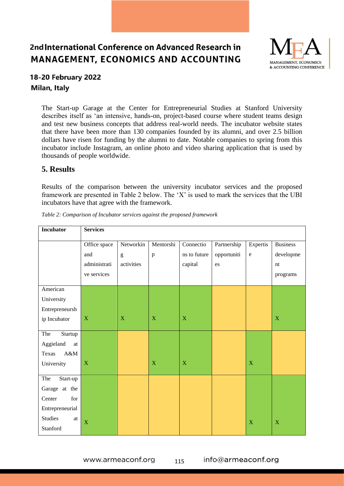

### 18-20 February 2022 Milan, Italy

The Start-up Garage at the Center for Entrepreneurial Studies at Stanford University describes itself as 'an intensive, hands-on, project-based course where student teams design and test new business concepts that address real-world needs. The incubator website states that there have been more than 130 companies founded by its alumni, and over 2.5 billion dollars have risen for funding by the alumni to date. Notable companies to spring from this incubator include Instagram, an online photo and video sharing application that is used by thousands of people worldwide.

#### **5. Results**

Results of the comparison between the university incubator services and the proposed framework are presented in Table 2 below. The 'X' is used to mark the services that the UBI incubators have that agree with the framework.

| <b>Incubator</b>      | <b>Services</b> |                                                                                                                                                                                                                                                                                                                                                                                                                                |              |              |             |             |                           |  |
|-----------------------|-----------------|--------------------------------------------------------------------------------------------------------------------------------------------------------------------------------------------------------------------------------------------------------------------------------------------------------------------------------------------------------------------------------------------------------------------------------|--------------|--------------|-------------|-------------|---------------------------|--|
|                       | Office space    | Networkin                                                                                                                                                                                                                                                                                                                                                                                                                      | Mentorshi    | Connectio    | Partnership | Expertis    | <b>Business</b>           |  |
|                       | and             | $\mathbf{g}% _{T}=\mathbf{g}_{T}=\mathbf{g}_{T}=\mathbf{g}_{T}=\mathbf{g}_{T}=\mathbf{g}_{T}=\mathbf{g}_{T}=\mathbf{g}_{T}=\mathbf{g}_{T}=\mathbf{g}_{T}=\mathbf{g}_{T}=\mathbf{g}_{T}=\mathbf{g}_{T}=\mathbf{g}_{T}=\mathbf{g}_{T}=\mathbf{g}_{T}=\mathbf{g}_{T}=\mathbf{g}_{T}=\mathbf{g}_{T}=\mathbf{g}_{T}=\mathbf{g}_{T}=\mathbf{g}_{T}=\mathbf{g}_{T}=\mathbf{g}_{T}=\mathbf{g}_{T}=\mathbf{g}_{T}=\mathbf{g}_{T}=\math$ | $\, {\bf p}$ | ns to future | opportuniti | ${\rm e}$   | developme                 |  |
|                       | administrati    | activities                                                                                                                                                                                                                                                                                                                                                                                                                     |              | capital      | es          |             | nt                        |  |
|                       | ve services     |                                                                                                                                                                                                                                                                                                                                                                                                                                |              |              |             |             | programs                  |  |
| American              |                 |                                                                                                                                                                                                                                                                                                                                                                                                                                |              |              |             |             |                           |  |
| University            |                 |                                                                                                                                                                                                                                                                                                                                                                                                                                |              |              |             |             |                           |  |
| Entrepreneursh        |                 |                                                                                                                                                                                                                                                                                                                                                                                                                                |              |              |             |             |                           |  |
| ip Incubator          | $\mathbf X$     | $\mathbf X$                                                                                                                                                                                                                                                                                                                                                                                                                    | $\mathbf X$  | $\mathbf{X}$ |             |             | $\boldsymbol{\mathrm{X}}$ |  |
| The<br>Startup        |                 |                                                                                                                                                                                                                                                                                                                                                                                                                                |              |              |             |             |                           |  |
| Aggieland<br>at       |                 |                                                                                                                                                                                                                                                                                                                                                                                                                                |              |              |             |             |                           |  |
| A&M<br>Texas          |                 |                                                                                                                                                                                                                                                                                                                                                                                                                                |              |              |             |             |                           |  |
| University            | $\mathbf X$     |                                                                                                                                                                                                                                                                                                                                                                                                                                | $\mathbf X$  | X            |             | $\mathbf X$ |                           |  |
| The<br>Start-up       |                 |                                                                                                                                                                                                                                                                                                                                                                                                                                |              |              |             |             |                           |  |
| Garage at the         |                 |                                                                                                                                                                                                                                                                                                                                                                                                                                |              |              |             |             |                           |  |
| ${\rm for}$<br>Center |                 |                                                                                                                                                                                                                                                                                                                                                                                                                                |              |              |             |             |                           |  |
| Entrepreneurial       |                 |                                                                                                                                                                                                                                                                                                                                                                                                                                |              |              |             |             |                           |  |
| <b>Studies</b><br>at  | $\bar{X}$       |                                                                                                                                                                                                                                                                                                                                                                                                                                |              |              |             | $\mathbf X$ | X                         |  |
| Stanford              |                 |                                                                                                                                                                                                                                                                                                                                                                                                                                |              |              |             |             |                           |  |

*Table 2: Comparison of Incubator services against the proposed framework*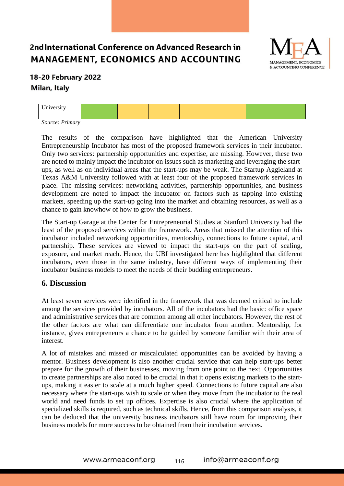

### 18-20 February 2022 Milan, Italy

|  | $ -$<br>. <i>. .</i> |  |  |  |  |  |  |
|--|----------------------|--|--|--|--|--|--|
|--|----------------------|--|--|--|--|--|--|

*Source: Primary*

The results of the comparison have highlighted that the American University Entrepreneurship Incubator has most of the proposed framework services in their incubator. Only two services: partnership opportunities and expertise, are missing. However, these two are noted to mainly impact the incubator on issues such as marketing and leveraging the startups, as well as on individual areas that the start-ups may be weak. The Startup Aggieland at Texas A&M University followed with at least four of the proposed framework services in place. The missing services: networking activities, partnership opportunities, and business development are noted to impact the incubator on factors such as tapping into existing markets, speeding up the start-up going into the market and obtaining resources, as well as a chance to gain knowhow of how to grow the business.

The Start-up Garage at the Center for Entrepreneurial Studies at Stanford University had the least of the proposed services within the framework. Areas that missed the attention of this incubator included networking opportunities, mentorship, connections to future capital, and partnership. These services are viewed to impact the start-ups on the part of scaling, exposure, and market reach. Hence, the UBI investigated here has highlighted that different incubators, even those in the same industry, have different ways of implementing their incubator business models to meet the needs of their budding entrepreneurs.

#### **6. Discussion**

At least seven services were identified in the framework that was deemed critical to include among the services provided by incubators. All of the incubators had the basic: office space and administrative services that are common among all other incubators. However, the rest of the other factors are what can differentiate one incubator from another. Mentorship, for instance, gives entrepreneurs a chance to be guided by someone familiar with their area of interest.

A lot of mistakes and missed or miscalculated opportunities can be avoided by having a mentor. Business development is also another crucial service that can help start-ups better prepare for the growth of their businesses, moving from one point to the next. Opportunities to create partnerships are also noted to be crucial in that it opens existing markets to the startups, making it easier to scale at a much higher speed. Connections to future capital are also necessary where the start-ups wish to scale or when they move from the incubator to the real world and need funds to set up offices. Expertise is also crucial where the application of specialized skills is required, such as technical skills. Hence, from this comparison analysis, it can be deduced that the university business incubators still have room for improving their business models for more success to be obtained from their incubation services.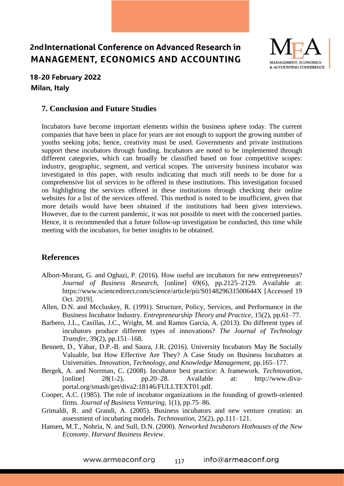

#### 18-20 February 2022 Milan, Italy

#### **7. Conclusion and Future Studies**

Incubators have become important elements within the business sphere today. The current companies that have been in place for years are not enough to support the growing number of youths seeking jobs; hence, creativity must be used. Governments and private institutions support these incubators through funding. Incubators are noted to be implemented through different categories, which can broadly be classified based on four competitive scopes: industry, geographic, segment, and vertical scopes. The university business incubator was investigated in this paper, with results indicating that much still needs to be done for a comprehensive list of services to be offered in these institutions. This investigation focused on highlighting the services offered in these institutions through checking their online websites for a list of the services offered. This method is noted to be insufficient, given that more details would have been obtained if the institutions had been given interviews. However, due to the current pandemic, it was not possible to meet with the concerned parties. Hence, it is recommended that a future follow-up investigation be conducted, this time while meeting with the incubators, for better insights to be obtained.

#### **References**

- Albort-Morant, G. and Oghazi, P. (2016). How useful are incubators for new entrepreneurs? *Journal of Business Research*, [online] 69(6), pp.2125–2129. Available at: https://www.sciencedirect.com/science/article/pii/S014829631500644X [Accessed 19 Oct. 2019].
- Allen, D.N. and Mccluskey, R. (1991). Structure, Policy, Services, and Performance in the Business Incubator Industry. *Entrepreneurship Theory and Practice*, 15(2), pp.61–77.
- Barbero, J.L., Casillas, J.C., Wright, M. and Ramos Garcia, A. (2013). Do different types of incubators produce different types of innovations? *The Journal of Technology Transfer*, 39(2), pp.151–168.
- Bennett, D., Yábar, D.P.-B. and Saura, J.R. (2016). University Incubators May Be Socially Valuable, but How Effective Are They? A Case Study on Business Incubators at Universities. *Innovation, Technology, and Knowledge Management*, pp.165–177.
- Bergek, A. and Norrman, C. (2008). Incubator best practice: A framework. *Technovation*, [online] 28(1-2), pp.20–28. Available at: http://www.divaportal.org/smash/get/diva2:18146/FULLTEXT01.pdf.
- Cooper, A.C. (1985). The role of incubator organizations in the founding of growth-oriented firms. *Journal of Business Venturing*, 1(1), pp.75–86.
- Grimaldi, R. and Grandi, A. (2005). Business incubators and new venture creation: an assessment of incubating models. *Technovation*, 25(2), pp.111–121.
- Hansen, M.T., Nohria, N. and Sull, D.N. (2000). *Networked Incubators Hothouses of the New Economy*. *Harvard Business Review*.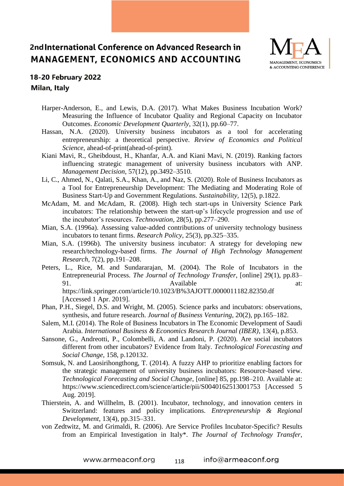

#### 18-20 February 2022 Milan, Italy

- Harper-Anderson, E., and Lewis, D.A. (2017). What Makes Business Incubation Work? Measuring the Influence of Incubator Quality and Regional Capacity on Incubator Outcomes. *Economic Development Quarterly*, 32(1), pp.60–77.
- Hassan, N.A. (2020). University business incubators as a tool for accelerating entrepreneurship: a theoretical perspective. *Review of Economics and Political Science*, ahead-of-print(ahead-of-print).
- Kiani Mavi, R., Gheibdoust, H., Khanfar, A.A. and Kiani Mavi, N. (2019). Ranking factors influencing strategic management of university business incubators with ANP. *Management Decision*, 57(12), pp.3492–3510.
- Li, C., Ahmed, N., Qalati, S.A., Khan, A., and Naz, S. (2020). Role of Business Incubators as a Tool for Entrepreneurship Development: The Mediating and Moderating Role of Business Start-Up and Government Regulations. *Sustainability*, 12(5), p.1822.
- McAdam, M. and McAdam, R. (2008). High tech start-ups in University Science Park incubators: The relationship between the start-up's lifecycle progression and use of the incubator's resources. *Technovation*, 28(5), pp.277–290.
- Mian, S.A. (1996a). Assessing value-added contributions of university technology business incubators to tenant firms. *Research Policy*, 25(3), pp.325–335.
- Mian, S.A. (1996b). The university business incubator: A strategy for developing new research/technology-based firms. *The Journal of High Technology Management Research*, 7(2), pp.191–208.
- Peters, L., Rice, M. and Sundararajan, M. (2004). The Role of Incubators in the Entrepreneurial Process. *The Journal of Technology Transfer*, [online] 29(1), pp.83– 91. Available at: https://link.springer.com/article/10.1023/B%3AJOTT.0000011182.82350.df [Accessed 1 Apr. 2019].
- Phan, P.H., Siegel, D.S. and Wright, M. (2005). Science parks and incubators: observations, synthesis, and future research. *Journal of Business Venturing*, 20(2), pp.165–182.
- Salem, M.I. (2014). The Role of Business Incubators in The Economic Development of Saudi Arabia. *International Business & Economics Research Journal (IBER)*, 13(4), p.853.
- Sansone, G., Andreotti, P., Colombelli, A. and Landoni, P. (2020). Are social incubators different from other incubators? Evidence from Italy. *Technological Forecasting and Social Change*, 158, p.120132.
- Somsuk, N. and Laosirihongthong, T. (2014). A fuzzy AHP to prioritize enabling factors for the strategic management of university business incubators: Resource-based view. *Technological Forecasting and Social Change*, [online] 85, pp.198–210. Available at: https://www.sciencedirect.com/science/article/pii/S0040162513001753 [Accessed 5 Aug. 2019].
- Thierstein, A. and Willhelm, B. (2001). Incubator, technology, and innovation centers in Switzerland: features and policy implications. *Entrepreneurship & Regional Development*, 13(4), pp.315–331.
- von Zedtwitz, M. and Grimaldi, R. (2006). Are Service Profiles Incubator-Specific? Results from an Empirical Investigation in Italy\*. *The Journal of Technology Transfer*,